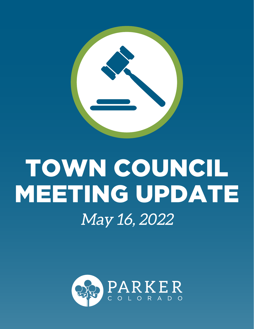

# TOWN COUNCIL MEETING UPDATE May 16, 2022

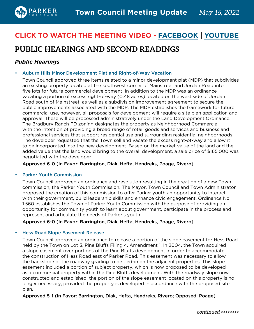

# **CLICK TO WATCH THE MEETING VIDEO - [FACEBOOK](https://www.facebook.com/TownofParkerCO/videos/474981377758811) [| YOUTUBE](https://www.youtube.com/watch?v=_oAKqPqW7gY)**

# **PUBLIC HEARINGS AND SECOND READINGS**

# *Public Hearings*

#### • Auburn Hills Minor Development Plat and Right-of-Way Vacation

Town Council approved three items related to a minor development plat (MDP) that subdivides an existing property located at the southwest corner of Mainstreet and Jordan Road into five lots for future commercial development. In addition to the MDP was an ordinance vacating a portion of excess right-of-way (0.48 acres) located on the west side of Jordan Road south of Mainstreet, as well as a subdivision improvement agreement to secure the public improvements associated with the MDP. The MDP establishes the framework for future commercial use, however, all proposals for development will require a site plan application and approval. These will be processed administratively under the Land Development Ordinance. The Bradbury Ranch PD zoning designates the property as Neighborhood Commercial with the intention of providing a broad range of retail goods and services and business and professional services that support residential use and surrounding residential neighborhoods. The developer requested that the Town sell and vacate the excess right-of-way and allow it to be incorporated into the new development. Based on the market value of the land and the added value that the land would bring to the overall development, a sale price of \$165,000 was negotiated with the developer.

#### Approved 6-0 (In Favor: Barrington, Diak, Hefta, Hendreks, Poage, Rivero)

#### • Parker Youth Commission

Town Council approved an ordinance and resolution resulting in the creation of a new Town commission, the Parker Youth Commission. The Mayor, Town Council and Town Administrator proposed the creation of this commission to offer Parker youth an opportunity to interact with their government, build leadership skills and enhance civic engagement. Ordinance No. 1.560 establishes the Town of Parker Youth Commission with the purpose of providing an opportunity for community youth to learn about government, participate in the process and represent and articulate the needs of Parker's youth.

Approved 6-0 (In Favor: Barrington, Diak, Hefta, Hendreks, Poage, Rivero)

#### • Hess Road Slope Easement Release

Town Council approved an ordinance to release a portion of the slope easement for Hess Road held by the Town on Lot 3, Pine Bluffs Filing 4, Amendment 1. In 2004, the Town acquired a slope easement over portions of the Pine Bluffs development in order to accommodate the construction of Hess Road east of Parker Road. This easement was necessary to allow the backslope of the roadway grading to be tied-in on the adjacent properties. This slope easement included a portion of subject property, which is now proposed to be developed as a commercial property within the Pine Bluffs development. With the roadway slope now constructed and established, the portion of the slope easement located on this property is no longer necessary, provided the property is developed in accordance with the proposed site plan.

#### Approved 5-1 (In Favor: Barrington, Diak, Hefta, Hendreks, Rivero; Opposed: Poage)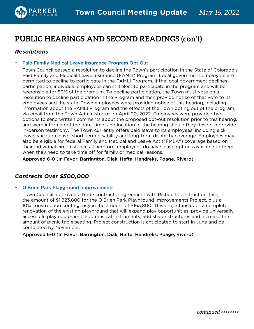

# **PUBLIC HEARINGS AND SECOND READINGS (con't)**

## *Resolutions*

#### • Paid Family Medical Leave Insurance Program Opt Out

Town Council passed a resolution to decline the Town's participation in the State of Colorado's Paid Family and Medical Leave Insurance (FAMLI) Program. Local government employers are permitted to decline to participate in the FAMLI Program. If the local government declines participation, individual employees can still elect to participate in the program and will be responsible for 50% of the premium. To decline participation, the Town must vote on a resolution to decline participation in the Program and then provide notice of that vote to its employees and the state. Town employees were provided notice of this hearing, including information about the FAMLI Program and the effects of the Town opting out of the program, via email from the Town Administrator on April 20, 2022. Employees were provided two options to send written comments about the proposed opt-out resolution prior to this hearing, and were informed of the date, time and location of the hearing should they desire to provide in-person testimony. The Town currently offers paid leave to its employees, including sick leave, vacation leave, short-term disability and long-term disability coverage. Employees may also be eligible for federal Family and Medical and Leave Act ("FMLA") coverage based on their individual circumstances. Therefore, employees do have leave options available to them when they need to take time off for family or medical reasons.

Approved 6-0 (In Favor: Barrington, Diak, Hefta, Hendreks, Poage, Rivero)

## *Contracts Over \$500,000*

#### • O'Brien Park Playground Improvements

Town Council approved a trade contractor agreement with Richdell Construction, Inc., in the amount of \$1,823,800 for the O'Brien Park Playground Improvements Project, plus a 10% construction contingency in the amount of \$165,800. This project includes a complete renovation of the existing playground that will expand play opportunities, provide universally accessible play equipment, add musical instruments, add shade structures and increase the amount of picnic table seating. Project construction is anticipated to start in June and be completed by November.

#### Approved 6-0 (In Favor: Barrington, Diak, Hefta, Hendreks, Poage, Rivero)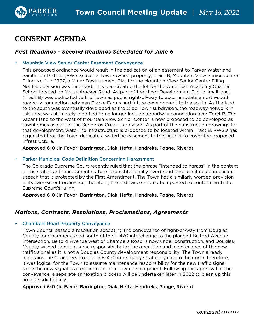# **CONSENT AGENDA**

## *First Readings - Second Readings Scheduled for June 6*

#### • Mountain View Senior Center Easement Conveyance

This proposed ordinance would result in the dedication of an easement to Parker Water and Sanitation District (PWSD) over a Town-owned property, Tract B, Mountain View Senior Center Filing No. 1. In 1997, a Minor Development Plat for the Mountain View Senior Center Filing No. 1 subdivision was recorded. This plat created the lot for the American Academy Charter School located on Motsenbocker Road. As part of the Minor Development Plat, a small tract (Tract B) was dedicated to the Town as public right-of-way to accommodate a north-south roadway connection between Clarke Farms and future development to the south. As the land to the south was eventually developed as the Olde Town subdivison, the roadway network in this area was ultimately modified to no longer include a roadway connection over Tract B. The vacant land to the west of Mountain View Senior Center is now proposed to be developed as townhomes as part of the Senderos Creek subdivison. As part of the construction drawings for that development, waterline infrastructure is proposed to be located within Tract B. PWSD has requested that the Town dedicate a waterline easement to the District to cover the proposed infrastructure.

#### Approved 6-0 (In Favor: Barrington, Diak, Hefta, Hendreks, Poage, Rivero)

#### • Parker Municipal Code Definition Concerning Harassment

The Colorado Supreme Court recently ruled that the phrase "intended to harass" in the context of the state's anti-harassment statute is constitutionally overbroad because it could implicate speech that is protected by the First Amendment. The Town has a similarly worded provision in its harassment ordinance; therefore, the ordinance should be updated to conform with the Supreme Court's ruling.

Approved 6-0 (In Favor: Barrington, Diak, Hefta, Hendreks, Poage, Rivero)

## *Motions, Contracts, Resolutions, Proclamations, Agreements*

#### • Chambers Road Property Conveyance

Town Council passed a resolution accepting the conveyance of right-of-way from Douglas County for Chambers Road south of the E-470 interchange to the planned Belford Avenue intersection. Belford Avenue west of Chambers Road is now under construction, and Douglas County wished to not assume responsibility for the operation and maintenance of the new traffic signal as it is not a Douglas County development responsibility. The Town already maintains the Chambers Road and E-470 interchange traffic signals to the north; therefore, it was logical for the Town to assume maintenance responsibility for the new traffic signal since the new signal is a requirement of a Town development. Following this approval of the conveyance, a separate annexation process will be undertaken later in 2022 to clean up this area jurisdictionally.

#### Approved 6-0 (In Favor: Barrington, Diak, Hefta, Hendreks, Poage, Rivero)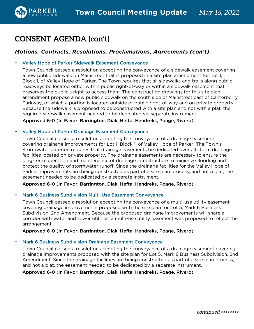

# **CONSENT AGENDA (con't)**

## *Motions, Contracts, Resolutions, Proclamations, Agreements (con't)*

#### • Valley Hope of Parker Sidewalk Easement Conveyance

Town Council passed a resolution accepting the conveyance of a sidewalk easement covering a new public sidewalk on Mainstreet that is proposed in a site plan amendment for Lot 1, Block 1, of Valley Hope of Parker. The Town requires that all sidewalks and trails along public roadways be located either within public right-of-way or within a sidewalk easement that preserves the public's right to access them. The construction drawings for this site plan amendment propose a new public sidewalk on the south side of Mainstreet east of Canterberry Parkway, of which a portion is located outside of public right-of-way and on private property. Because the sidewalk is proposed to be constructed with a site plan and not with a plat, the required sidewalk easement needed to be dedicated via separate instrument.

Approved 6-0 (In Favor: Barrington, Diak, Hefta, Hendreks, Poage, Rivero)

#### • Valley Hope of Parker Drainage Easement Conveyance

Town Council passed a resolution accepting the conveyance of a drainage easement covering drainage improvements for Lot 1, Block 1, of Valley Hope of Parker. The Town's Stormwater criterion requires that drainage easements be dedicated over all storm drainage facilities located on private property. The drainage easements are necessary to ensure the long-term operation and maintenance of drainage infrastructure to minimize flooding and protect the quality of stormwater runoff. Since the drainage facilities for the Valley Hope of Parker improvements are being constructed as part of a site plan process, and not a plat, the easement needed to be dedicated by a separate instrument.

Approved 6-0 (In Favor: Barrington, Diak, Hefta, Hendreks, Poage, Rivero)

#### • Mark 6 Business Subdivision Multi-Use Easement Conveyance

Town Council passed a resolution accepting the conveyance of a multi-use utility easement covering drainage improvements proposed with the site plan for Lot 5, Mark 6 Business Subdivision, 2nd Amendment. Because the proposed drainage improvements will share a corridor with water and sewer utilities, a multi-use utility easement was proposed to reflect the arrangement.

#### Approved 6-0 (In Favor: Barrington, Diak, Hefta, Hendreks, Poage, Rivero)

#### • Mark 6 Business Subdivision Drainage Easement Conveyance

Town Council passed a resolution accepting the conveyance of a drainage easement covering drainage improvements proposed with the site plan for Lot 5, Mark 6 Business Subdivision, 2nd Amendment. Since the drainage facilities are being constructed as part of a site plan process, and not a plat, the easement needed to be dedicated by a separate instrument.

Approved 6-0 (In Favor: Barrington, Diak, Hefta, Hendreks, Poage, Rivero)